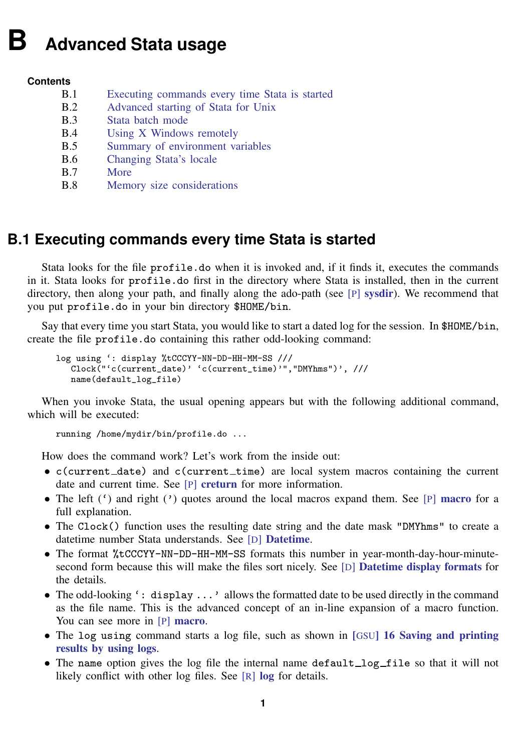# <span id="page-0-1"></span>**B Advanced Stata usage**

#### **Contents**

B.1 [Executing commands every time Stata is started](#page-0-0) B.2 [Advanced starting of Stata for Unix](#page-1-0)<br>B.3 Stata batch mode [Stata batch mode](#page-2-0) **B.4** [Using X Windows remotely](#page-2-1)<br>**B.5** Summary of environment va [Summary of environment variables](#page-3-0) B.6 [Changing Stata's locale](#page-3-1) B.7 [More](#page-3-2)<br>B.8 Mem [Memory size considerations](#page-4-0)

## <span id="page-0-0"></span>**B.1 Executing commands every time Stata is started**

Stata looks for the file profile.do when it is invoked and, if it finds it, executes the commands in it. Stata looks for profile.do first in the directory where Stata is installed, then in the current directory, then along your path, and finally along the ado-path (see [P] [sysdir](https://www.stata.com/manuals/psysdir.pdf#psysdir)). We recommend that you put profile.do in your bin directory \$HOME/bin.

Say that every time you start Stata, you would like to start a dated log for the session. In \$HOME/bin, create the file profile.do containing this rather odd-looking command:

```
log using ': display %tCCCYY-NN-DD-HH-MM-SS ///
   Clock("'c(current_date)' 'c(current_time)'","DMYhms")', ///
   name(default_log_file)
```
When you invoke Stata, the usual opening appears but with the following additional command, which will be executed:

running /home/mydir/bin/profile.do ...

How does the command work? Let's work from the inside out:

- $\bullet$  c(current\_date) and c(current\_time) are local system macros containing the current date and current time. See [P] [creturn](https://www.stata.com/manuals/pcreturn.pdf#pcreturn) for more information.
- The left  $'$ ) and right  $'$ ) quotes around the local [macro](https://www.stata.com/manuals/pmacro.pdf#pmacro)s expand them. See [P] macro for a full explanation.
- The Clock() function uses the resulting date string and the date mask "DMYhms" to create a datetime number Stata understands. See [D] [Datetime](https://www.stata.com/manuals/ddatetime.pdf#dDatetime).
- The format %tCCCYY-NN-DD-HH-MM-SS formats this number in year-month-day-hour-minutesecond form because this will make the files sort nicely. See [D] [Datetime display formats](https://www.stata.com/manuals/ddatetimedisplayformats.pdf#dDatetimedisplayformats) for the details.
- The odd-looking ': display ...' allows the formatted date to be used directly in the command as the file name. This is the advanced concept of an in-line expansion of a macro function. You can see more in [P] [macro](https://www.stata.com/manuals/pmacro.pdf#pmacro).
- The log using command starts a log file, such as shown in [GSU[\] 16 Saving and printing](https://www.stata.com/manuals/gsu16.pdf#gsu16Savingandprintingresultsbyusinglogs) [results by using logs](https://www.stata.com/manuals/gsu16.pdf#gsu16Savingandprintingresultsbyusinglogs).
- The name option gives the log file the internal name default  $\log_{10}$  file so that it will not likely conflict with other [log](https://www.stata.com/manuals/rlog.pdf#rlog) files. See [R] log for details.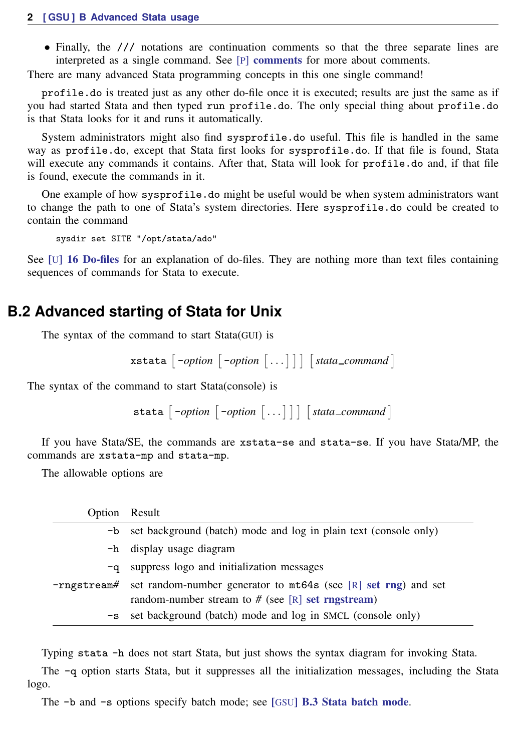• Finally, the /// notations are continuation comments so that the three separate lines are interpreted as a single command. See [P] [comments](https://www.stata.com/manuals/pcomments.pdf#pcomments) for more about comments.

There are many advanced Stata programming concepts in this one single command!

profile.do is treated just as any other do-file once it is executed; results are just the same as if you had started Stata and then typed run profile.do. The only special thing about profile.do is that Stata looks for it and runs it automatically.

System administrators might also find sysprofile.do useful. This file is handled in the same way as profile.do, except that Stata first looks for sysprofile.do. If that file is found, Stata will execute any commands it contains. After that, Stata will look for profile.do and, if that file is found, execute the commands in it.

One example of how sysprofile.do might be useful would be when system administrators want to change the path to one of Stata's system directories. Here sysprofile.do could be created to contain the command

sysdir set SITE "/opt/stata/ado"

<span id="page-1-0"></span>See [U[\] 16 Do-files](https://www.stata.com/manuals/u16.pdf#u16Do-files) for an explanation of do-files. They are nothing more than text files containing sequences of commands for Stata to execute.

### **B.2 Advanced starting of Stata for Unix**

The syntax of the command to start Stata(GUI) is

 $\{ x_{\text{stat}} \mid -option \mid -option \mid \dots \mid \mid \mid \text{stat}\_comment \}$ 

The syntax of the command to start Stata(console) is

 $\text{stata}$   $\begin{bmatrix} -option \end{bmatrix}$   $-option$   $\begin{bmatrix} \ldots \end{bmatrix}$   $\begin{bmatrix} state\_command \end{bmatrix}$ 

If you have Stata/SE, the commands are xstata-se and stata-se. If you have Stata/MP, the commands are xstata-mp and stata-mp.

The allowable options are

| Option Result |                                                                                                                                       |
|---------------|---------------------------------------------------------------------------------------------------------------------------------------|
|               | -b set background (batch) mode and log in plain text (console only)                                                                   |
|               | -h display usage diagram                                                                                                              |
| -q            | suppress logo and initialization messages                                                                                             |
|               | $-rngstream \#$ set random-number generator to mt64s (see [R] set rng) and set<br>random-number stream to $#$ (see [R] set rngstream) |
| $-\mathbf{s}$ | set background (batch) mode and log in SMCL (console only)                                                                            |

Typing stata -h does not start Stata, but just shows the syntax diagram for invoking Stata.

The -q option starts Stata, but it suppresses all the initialization messages, including the Stata logo.

The -b and -s options specify batch mode; see [GSU[\] B.3 Stata batch mode](#page-2-0).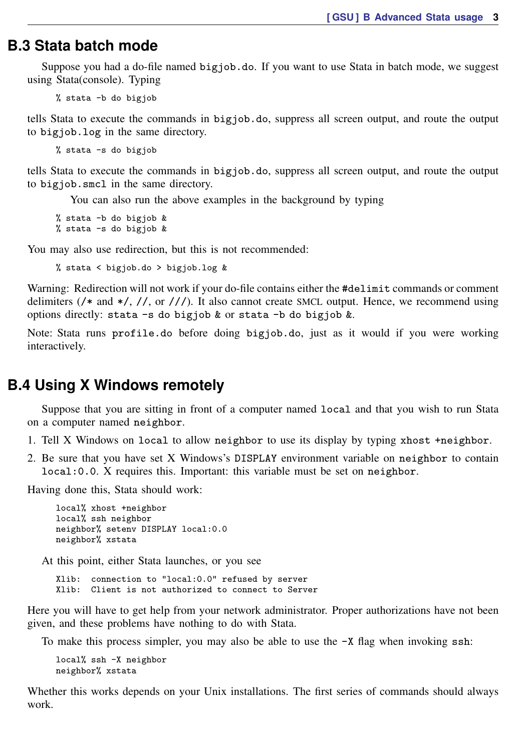#### <span id="page-2-0"></span>**B.3 Stata batch mode**

Suppose you had a do-file named bigjob.do. If you want to use Stata in batch mode, we suggest using Stata(console). Typing

% stata -b do bigjob

tells Stata to execute the commands in bigjob.do, suppress all screen output, and route the output to bigjob.log in the same directory.

% stata -s do bigjob

tells Stata to execute the commands in bigjob.do, suppress all screen output, and route the output to bigjob.smcl in the same directory.

You can also run the above examples in the background by typing

% stata -b do bigjob & % stata -s do bigjob  $\&$ 

You may also use redirection, but this is not recommended:

% stata < bigjob.do > bigjob.log &

Warning: Redirection will not work if your do-file contains either the #delimit commands or comment delimiters (/\* and \*/, //, or ///). It also cannot create SMCL output. Hence, we recommend using options directly: stata -s do bigjob & or stata -b do bigjob &.

<span id="page-2-1"></span>Note: Stata runs profile.do before doing bigjob.do, just as it would if you were working interactively.

#### **B.4 Using X Windows remotely**

Suppose that you are sitting in front of a computer named local and that you wish to run Stata on a computer named neighbor.

- 1. Tell X Windows on local to allow neighbor to use its display by typing xhost +neighbor.
- 2. Be sure that you have set X Windows's DISPLAY environment variable on neighbor to contain local:0.0. X requires this. Important: this variable must be set on neighbor.

Having done this, Stata should work:

```
local% xhost +neighbor
local% ssh neighbor
neighbor% setenv DISPLAY local:0.0
neighbor% xstata
```
At this point, either Stata launches, or you see

Xlib: connection to "local:0.0" refused by server Xlib: Client is not authorized to connect to Server

Here you will have to get help from your network administrator. Proper authorizations have not been given, and these problems have nothing to do with Stata.

To make this process simpler, you may also be able to use the  $-X$  flag when invoking ssh:

local% ssh -X neighbor neighbor% xstata

Whether this works depends on your Unix installations. The first series of commands should always work.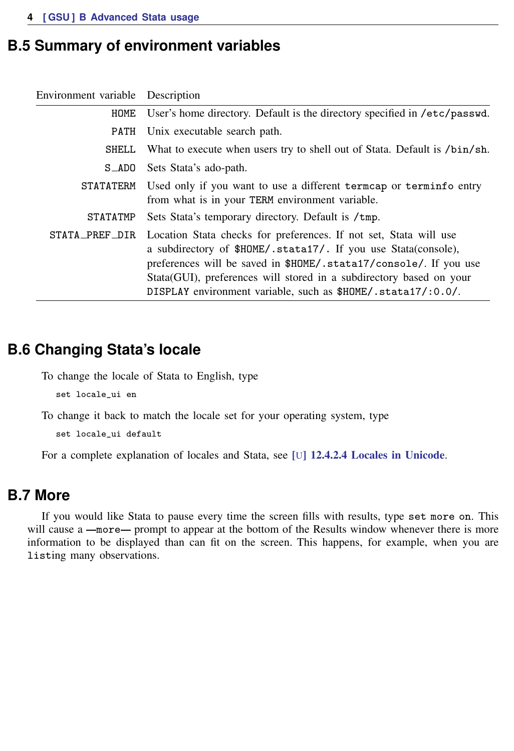## <span id="page-3-0"></span>**B.5 Summary of environment variables**

| Environment variable Description |                                                                                                                                                                                                                                                                                                                                                   |
|----------------------------------|---------------------------------------------------------------------------------------------------------------------------------------------------------------------------------------------------------------------------------------------------------------------------------------------------------------------------------------------------|
| HOME                             | User's home directory. Default is the directory specified in /etc/passwd.                                                                                                                                                                                                                                                                         |
| PATH                             | Unix executable search path.                                                                                                                                                                                                                                                                                                                      |
| SHELL                            | What to execute when users try to shell out of Stata. Default is /bin/sh.                                                                                                                                                                                                                                                                         |
| S_ADO                            | Sets Stata's ado-path.                                                                                                                                                                                                                                                                                                                            |
| <b>STATATERM</b>                 | Used only if you want to use a different term cap or terminfo entry<br>from what is in your TERM environment variable.                                                                                                                                                                                                                            |
| STATATMP                         | Sets Stata's temporary directory. Default is /tmp.                                                                                                                                                                                                                                                                                                |
| STATA_PREF_DIR                   | Location Stata checks for preferences. If not set, Stata will use<br>a subdirectory of \$HOME/.stata17/. If you use Stata (console),<br>preferences will be saved in \$HOME/.stata17/console/. If you use<br>Stata (GUI), preferences will stored in a subdirectory based on your<br>DISPLAY environment variable, such as \$HOME/.stata17/:0.0/. |

## <span id="page-3-1"></span>**B.6 Changing Stata's locale**

To change the locale of Stata to English, type

set locale\_ui en

To change it back to match the locale set for your operating system, type

set locale\_ui default

<span id="page-3-2"></span>For a complete explanation of locales and Stata, see [U[\] 12.4.2.4 Locales in Unicode](https://www.stata.com/manuals/u12.pdf#u12.4.2.4LocalesinUnicode).

## **B.7 More**

If you would like Stata to pause every time the screen fills with results, type set more on. This will cause a  $\text{—more}$ — prompt to appear at the bottom of the Results window whenever there is more information to be displayed than can fit on the screen. This happens, for example, when you are listing many observations.